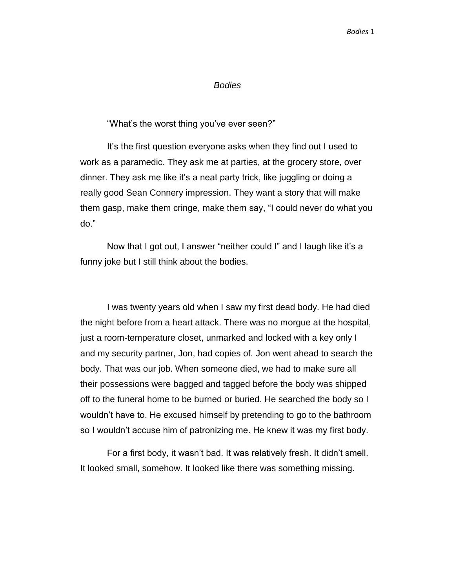"What's the worst thing you've ever seen?"

It's the first question everyone asks when they find out I used to work as a paramedic. They ask me at parties, at the grocery store, over dinner. They ask me like it's a neat party trick, like juggling or doing a really good Sean Connery impression. They want a story that will make them gasp, make them cringe, make them say, "I could never do what you do."

Now that I got out, I answer "neither could I" and I laugh like it's a funny joke but I still think about the bodies.

I was twenty years old when I saw my first dead body. He had died the night before from a heart attack. There was no morgue at the hospital, just a room-temperature closet, unmarked and locked with a key only I and my security partner, Jon, had copies of. Jon went ahead to search the body. That was our job. When someone died, we had to make sure all their possessions were bagged and tagged before the body was shipped off to the funeral home to be burned or buried. He searched the body so I wouldn't have to. He excused himself by pretending to go to the bathroom so I wouldn't accuse him of patronizing me. He knew it was my first body.

For a first body, it wasn't bad. It was relatively fresh. It didn't smell. It looked small, somehow. It looked like there was something missing.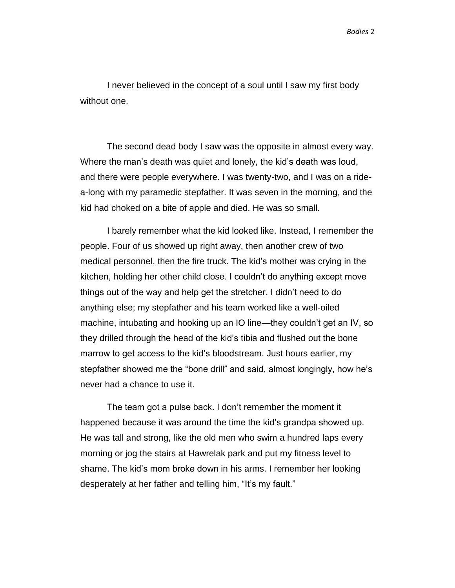I never believed in the concept of a soul until I saw my first body without one.

The second dead body I saw was the opposite in almost every way. Where the man's death was quiet and lonely, the kid's death was loud, and there were people everywhere. I was twenty-two, and I was on a ridea-long with my paramedic stepfather. It was seven in the morning, and the kid had choked on a bite of apple and died. He was so small.

I barely remember what the kid looked like. Instead, I remember the people. Four of us showed up right away, then another crew of two medical personnel, then the fire truck. The kid's mother was crying in the kitchen, holding her other child close. I couldn't do anything except move things out of the way and help get the stretcher. I didn't need to do anything else; my stepfather and his team worked like a well-oiled machine, intubating and hooking up an IO line—they couldn't get an IV, so they drilled through the head of the kid's tibia and flushed out the bone marrow to get access to the kid's bloodstream. Just hours earlier, my stepfather showed me the "bone drill" and said, almost longingly, how he's never had a chance to use it.

The team got a pulse back. I don't remember the moment it happened because it was around the time the kid's grandpa showed up. He was tall and strong, like the old men who swim a hundred laps every morning or jog the stairs at Hawrelak park and put my fitness level to shame. The kid's mom broke down in his arms. I remember her looking desperately at her father and telling him, "It's my fault."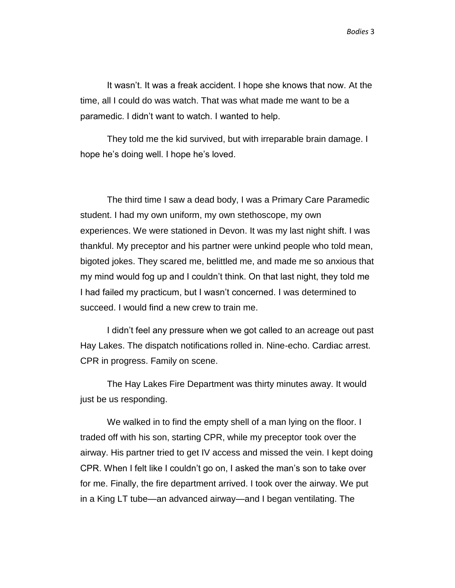It wasn't. It was a freak accident. I hope she knows that now. At the time, all I could do was watch. That was what made me want to be a paramedic. I didn't want to watch. I wanted to help.

They told me the kid survived, but with irreparable brain damage. I hope he's doing well. I hope he's loved.

The third time I saw a dead body, I was a Primary Care Paramedic student. I had my own uniform, my own stethoscope, my own experiences. We were stationed in Devon. It was my last night shift. I was thankful. My preceptor and his partner were unkind people who told mean, bigoted jokes. They scared me, belittled me, and made me so anxious that my mind would fog up and I couldn't think. On that last night, they told me I had failed my practicum, but I wasn't concerned. I was determined to succeed. I would find a new crew to train me.

I didn't feel any pressure when we got called to an acreage out past Hay Lakes. The dispatch notifications rolled in. Nine-echo. Cardiac arrest. CPR in progress. Family on scene.

The Hay Lakes Fire Department was thirty minutes away. It would just be us responding.

We walked in to find the empty shell of a man lying on the floor. I traded off with his son, starting CPR, while my preceptor took over the airway. His partner tried to get IV access and missed the vein. I kept doing CPR. When I felt like I couldn't go on, I asked the man's son to take over for me. Finally, the fire department arrived. I took over the airway. We put in a King LT tube—an advanced airway—and I began ventilating. The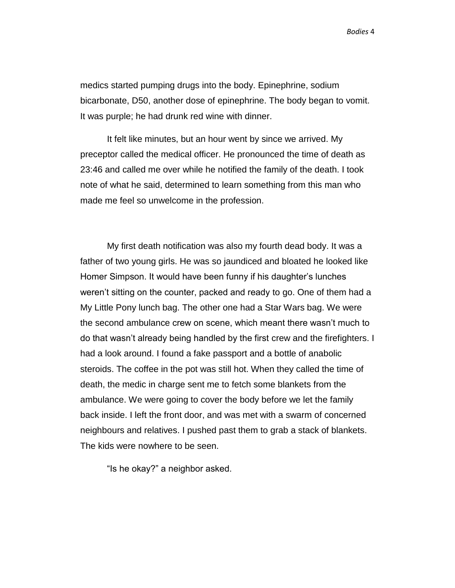medics started pumping drugs into the body. Epinephrine, sodium bicarbonate, D50, another dose of epinephrine. The body began to vomit. It was purple; he had drunk red wine with dinner.

It felt like minutes, but an hour went by since we arrived. My preceptor called the medical officer. He pronounced the time of death as 23:46 and called me over while he notified the family of the death. I took note of what he said, determined to learn something from this man who made me feel so unwelcome in the profession.

My first death notification was also my fourth dead body. It was a father of two young girls. He was so jaundiced and bloated he looked like Homer Simpson. It would have been funny if his daughter's lunches weren't sitting on the counter, packed and ready to go. One of them had a My Little Pony lunch bag. The other one had a Star Wars bag. We were the second ambulance crew on scene, which meant there wasn't much to do that wasn't already being handled by the first crew and the firefighters. I had a look around. I found a fake passport and a bottle of anabolic steroids. The coffee in the pot was still hot. When they called the time of death, the medic in charge sent me to fetch some blankets from the ambulance. We were going to cover the body before we let the family back inside. I left the front door, and was met with a swarm of concerned neighbours and relatives. I pushed past them to grab a stack of blankets. The kids were nowhere to be seen.

"Is he okay?" a neighbor asked.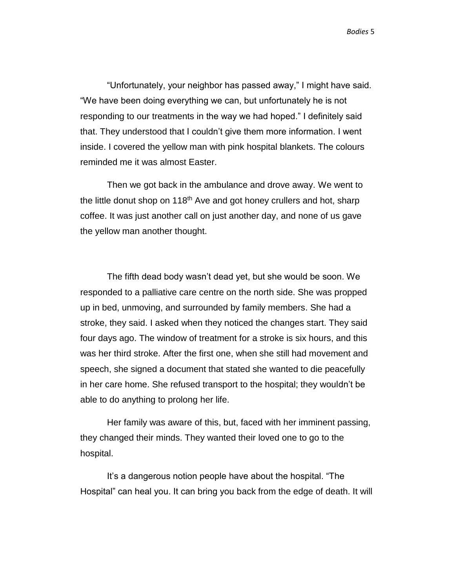"Unfortunately, your neighbor has passed away," I might have said. "We have been doing everything we can, but unfortunately he is not responding to our treatments in the way we had hoped." I definitely said that. They understood that I couldn't give them more information. I went inside. I covered the yellow man with pink hospital blankets. The colours reminded me it was almost Easter.

Then we got back in the ambulance and drove away. We went to the little donut shop on 118<sup>th</sup> Ave and got honey crullers and hot, sharp coffee. It was just another call on just another day, and none of us gave the yellow man another thought.

The fifth dead body wasn't dead yet, but she would be soon. We responded to a palliative care centre on the north side. She was propped up in bed, unmoving, and surrounded by family members. She had a stroke, they said. I asked when they noticed the changes start. They said four days ago. The window of treatment for a stroke is six hours, and this was her third stroke. After the first one, when she still had movement and speech, she signed a document that stated she wanted to die peacefully in her care home. She refused transport to the hospital; they wouldn't be able to do anything to prolong her life.

Her family was aware of this, but, faced with her imminent passing, they changed their minds. They wanted their loved one to go to the hospital.

It's a dangerous notion people have about the hospital. "The Hospital" can heal you. It can bring you back from the edge of death. It will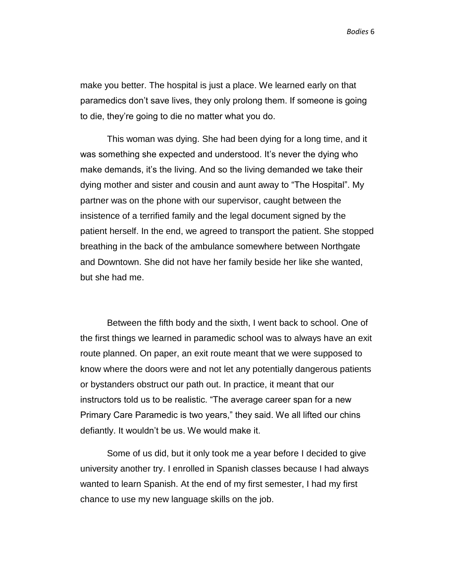make you better. The hospital is just a place. We learned early on that paramedics don't save lives, they only prolong them. If someone is going to die, they're going to die no matter what you do.

This woman was dying. She had been dying for a long time, and it was something she expected and understood. It's never the dying who make demands, it's the living. And so the living demanded we take their dying mother and sister and cousin and aunt away to "The Hospital". My partner was on the phone with our supervisor, caught between the insistence of a terrified family and the legal document signed by the patient herself. In the end, we agreed to transport the patient. She stopped breathing in the back of the ambulance somewhere between Northgate and Downtown. She did not have her family beside her like she wanted, but she had me.

Between the fifth body and the sixth, I went back to school. One of the first things we learned in paramedic school was to always have an exit route planned. On paper, an exit route meant that we were supposed to know where the doors were and not let any potentially dangerous patients or bystanders obstruct our path out. In practice, it meant that our instructors told us to be realistic. "The average career span for a new Primary Care Paramedic is two years," they said. We all lifted our chins defiantly. It wouldn't be us. We would make it.

Some of us did, but it only took me a year before I decided to give university another try. I enrolled in Spanish classes because I had always wanted to learn Spanish. At the end of my first semester, I had my first chance to use my new language skills on the job.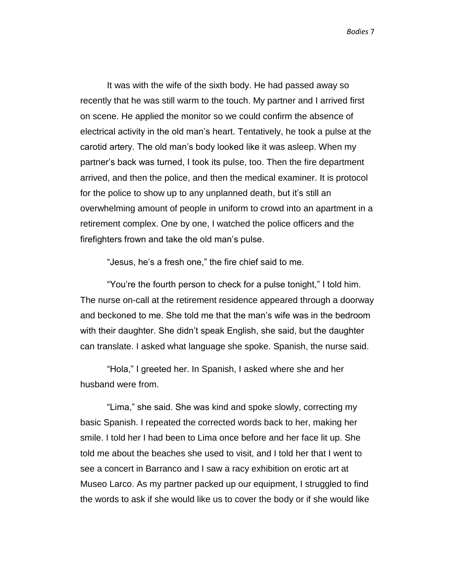It was with the wife of the sixth body. He had passed away so recently that he was still warm to the touch. My partner and I arrived first on scene. He applied the monitor so we could confirm the absence of electrical activity in the old man's heart. Tentatively, he took a pulse at the carotid artery. The old man's body looked like it was asleep. When my partner's back was turned, I took its pulse, too. Then the fire department arrived, and then the police, and then the medical examiner. It is protocol for the police to show up to any unplanned death, but it's still an overwhelming amount of people in uniform to crowd into an apartment in a retirement complex. One by one, I watched the police officers and the firefighters frown and take the old man's pulse.

"Jesus, he's a fresh one," the fire chief said to me.

"You're the fourth person to check for a pulse tonight," I told him. The nurse on-call at the retirement residence appeared through a doorway and beckoned to me. She told me that the man's wife was in the bedroom with their daughter. She didn't speak English, she said, but the daughter can translate. I asked what language she spoke. Spanish, the nurse said.

"Hola," I greeted her. In Spanish, I asked where she and her husband were from.

"Lima," she said. She was kind and spoke slowly, correcting my basic Spanish. I repeated the corrected words back to her, making her smile. I told her I had been to Lima once before and her face lit up. She told me about the beaches she used to visit, and I told her that I went to see a concert in Barranco and I saw a racy exhibition on erotic art at Museo Larco. As my partner packed up our equipment, I struggled to find the words to ask if she would like us to cover the body or if she would like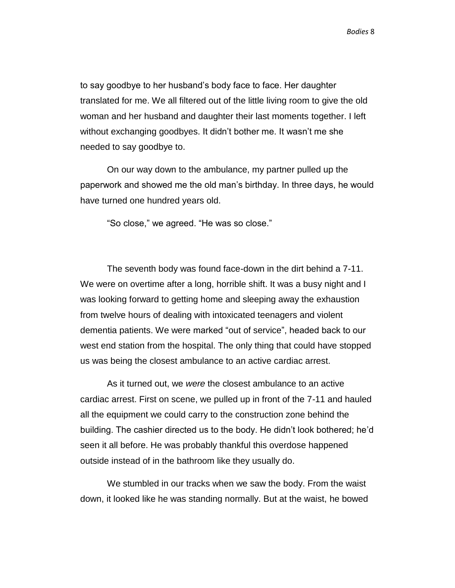to say goodbye to her husband's body face to face. Her daughter translated for me. We all filtered out of the little living room to give the old woman and her husband and daughter their last moments together. I left without exchanging goodbyes. It didn't bother me. It wasn't me she needed to say goodbye to.

On our way down to the ambulance, my partner pulled up the paperwork and showed me the old man's birthday. In three days, he would have turned one hundred years old.

"So close," we agreed. "He was so close."

The seventh body was found face-down in the dirt behind a 7-11. We were on overtime after a long, horrible shift. It was a busy night and I was looking forward to getting home and sleeping away the exhaustion from twelve hours of dealing with intoxicated teenagers and violent dementia patients. We were marked "out of service", headed back to our west end station from the hospital. The only thing that could have stopped us was being the closest ambulance to an active cardiac arrest.

As it turned out, we *were* the closest ambulance to an active cardiac arrest. First on scene, we pulled up in front of the 7-11 and hauled all the equipment we could carry to the construction zone behind the building. The cashier directed us to the body. He didn't look bothered; he'd seen it all before. He was probably thankful this overdose happened outside instead of in the bathroom like they usually do.

We stumbled in our tracks when we saw the body. From the waist down, it looked like he was standing normally. But at the waist, he bowed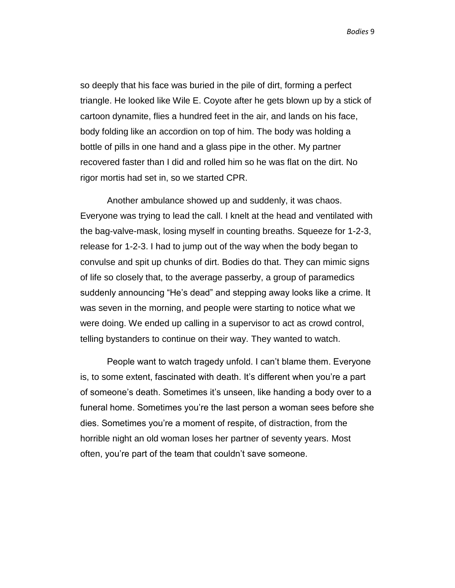so deeply that his face was buried in the pile of dirt, forming a perfect triangle. He looked like Wile E. Coyote after he gets blown up by a stick of cartoon dynamite, flies a hundred feet in the air, and lands on his face, body folding like an accordion on top of him. The body was holding a bottle of pills in one hand and a glass pipe in the other. My partner recovered faster than I did and rolled him so he was flat on the dirt. No rigor mortis had set in, so we started CPR.

Another ambulance showed up and suddenly, it was chaos. Everyone was trying to lead the call. I knelt at the head and ventilated with the bag-valve-mask, losing myself in counting breaths. Squeeze for 1-2-3, release for 1-2-3. I had to jump out of the way when the body began to convulse and spit up chunks of dirt. Bodies do that. They can mimic signs of life so closely that, to the average passerby, a group of paramedics suddenly announcing "He's dead" and stepping away looks like a crime. It was seven in the morning, and people were starting to notice what we were doing. We ended up calling in a supervisor to act as crowd control, telling bystanders to continue on their way. They wanted to watch.

People want to watch tragedy unfold. I can't blame them. Everyone is, to some extent, fascinated with death. It's different when you're a part of someone's death. Sometimes it's unseen, like handing a body over to a funeral home. Sometimes you're the last person a woman sees before she dies. Sometimes you're a moment of respite, of distraction, from the horrible night an old woman loses her partner of seventy years. Most often, you're part of the team that couldn't save someone.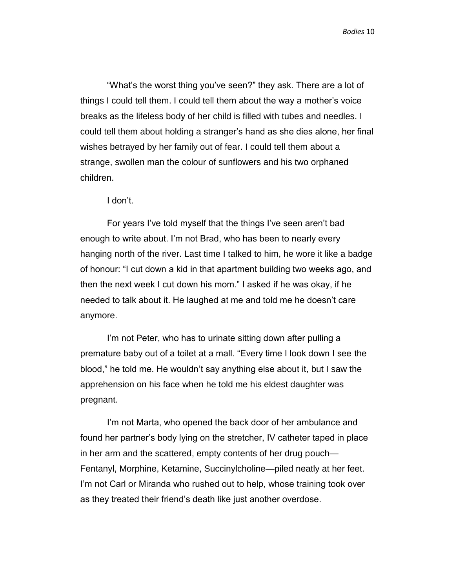"What's the worst thing you've seen?" they ask. There are a lot of things I could tell them. I could tell them about the way a mother's voice breaks as the lifeless body of her child is filled with tubes and needles. I could tell them about holding a stranger's hand as she dies alone, her final wishes betrayed by her family out of fear. I could tell them about a strange, swollen man the colour of sunflowers and his two orphaned children.

I don't.

For years I've told myself that the things I've seen aren't bad enough to write about. I'm not Brad, who has been to nearly every hanging north of the river. Last time I talked to him, he wore it like a badge of honour: "I cut down a kid in that apartment building two weeks ago, and then the next week I cut down his mom." I asked if he was okay, if he needed to talk about it. He laughed at me and told me he doesn't care anymore.

I'm not Peter, who has to urinate sitting down after pulling a premature baby out of a toilet at a mall. "Every time I look down I see the blood," he told me. He wouldn't say anything else about it, but I saw the apprehension on his face when he told me his eldest daughter was pregnant.

I'm not Marta, who opened the back door of her ambulance and found her partner's body lying on the stretcher, IV catheter taped in place in her arm and the scattered, empty contents of her drug pouch— Fentanyl, Morphine, Ketamine, Succinylcholine—piled neatly at her feet. I'm not Carl or Miranda who rushed out to help, whose training took over as they treated their friend's death like just another overdose.